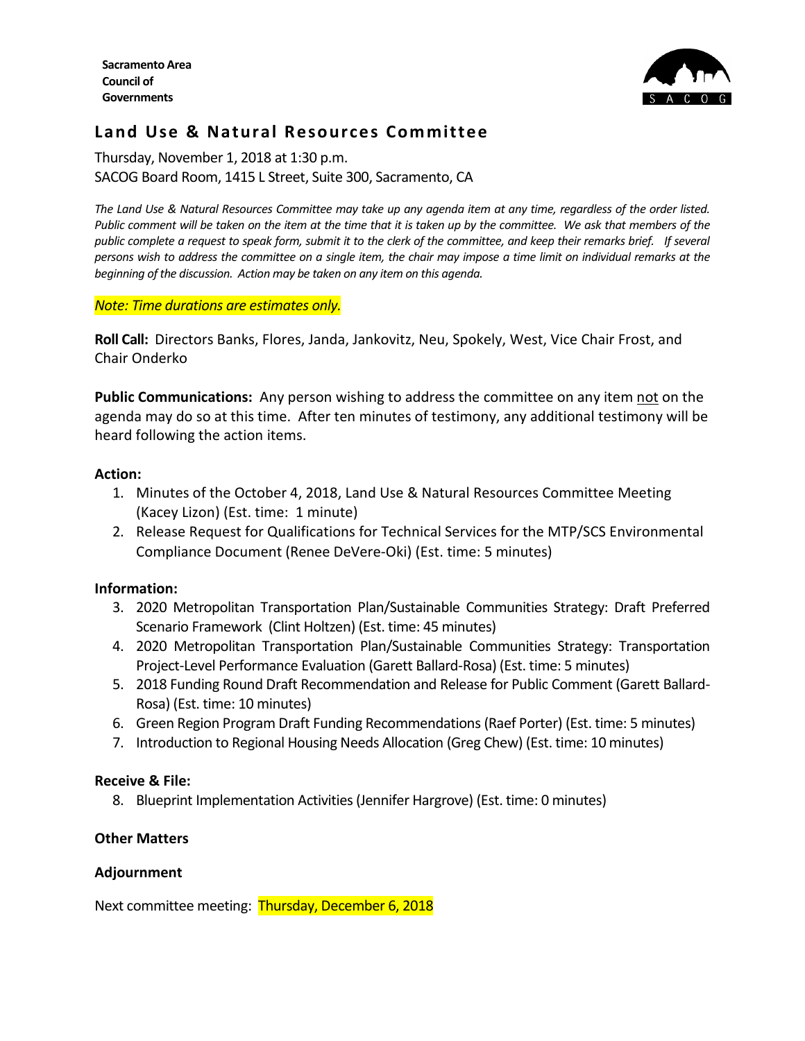

# **Land Use & Natural Resources Committee**

Thursday, November 1, 2018 at 1:30 p.m. SACOG Board Room, 1415 L Street, Suite 300, Sacramento, CA

*The Land Use & Natural Resources Committee may take up any agenda item at any time, regardless of the order listed. Public comment will be taken on the item at the time that it is taken up by the committee. We ask that members of the public complete a request to speak form, submit it to the clerk of the committee, and keep their remarks brief. If several persons wish to address the committee on a single item, the chair may impose a time limit on individual remarks at the beginning of the discussion. Action may be taken on any item on this agenda.* 

*Note: Time durations are estimates only.*

**Roll Call:** Directors Banks, Flores, Janda, Jankovitz, Neu, Spokely, West, Vice Chair Frost, and Chair Onderko

Public Communications: Any person wishing to address the committee on any item not on the agenda may do so at this time. After ten minutes of testimony, any additional testimony will be heard following the action items.

### **Action:**

- 1. Minutes of the October 4, 2018, Land Use & Natural Resources Committee Meeting (Kacey Lizon) (Est. time: 1 minute)
- 2. Release Request for Qualifications for Technical Services for the MTP/SCS Environmental Compliance Document (Renee DeVere-Oki) (Est. time: 5 minutes)

### **Information:**

- 3. 2020 Metropolitan Transportation Plan/Sustainable Communities Strategy: Draft Preferred Scenario Framework (Clint Holtzen) (Est. time: 45 minutes)
- 4. 2020 Metropolitan Transportation Plan/Sustainable Communities Strategy: Transportation Project-Level Performance Evaluation (Garett Ballard-Rosa) (Est. time: 5 minutes)
- 5. 2018 Funding Round Draft Recommendation and Release for Public Comment (Garett Ballard-Rosa) (Est. time: 10 minutes)
- 6. Green Region Program Draft Funding Recommendations(Raef Porter) (Est. time: 5 minutes)
- 7. Introduction to Regional Housing Needs Allocation (Greg Chew) (Est. time: 10 minutes)

# **Receive & File:**

8. Blueprint Implementation Activities (Jennifer Hargrove) (Est. time: 0 minutes)

# **Other Matters**

# **Adjournment**

Next committee meeting: Thursday, December 6, 2018